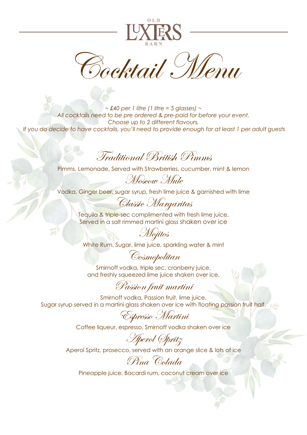

Bocktail Menu

 $\sim$  £40 per 1 litre (1 litre = 5 glasses)  $\sim$ All cocktails need to be pre ordered & pre-paid for before your event. Choose up to 2 different flavours. If you do decide to have cocktails, you'll need to provide enough for at least 1 per adult guests

## Traditional British Pimms

Pimms, Lemonade, Served with Strawberries, cucumber, mint & lemon

Moscow Mule

Vodka, Ginger beer, sugar syrup, fresh lime juice & garnished with lime

Classic Margaritas

Tequila & triple-sec complimented with fresh lime juice. Served in a salt rimmed martini glass shaken over ice

White Rum, Sugar, lime juice, sparkling water & mint

## Cosmopolitan

Mojitos

Smirnoff vodka, triple sec, cranberry juice, and freshly squeezed lime juice shaken over ice.

## Passion fruit martini

Smirnoff vodka, Passion fruit, lime juice, Sugar syrup served in a martini glass shaken over ice with floating passion fruit half.

Espresso Martini

Coffee liqueur, espresso, Smirnoff vodka shaken over ice

Aperol Spritz

Aperol Spritz, prosecco, served with an orange slice & lots of ice

Pina Colada

Pineapple juice, Bacardi rum, coconut cream over ice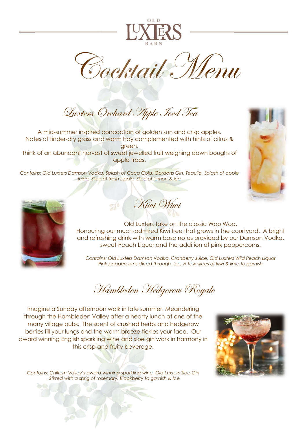

Cocktail Menu

Luxters Orchard Apple Jeed Tea

A mid-summer inspired concoction of golden sun and crisp apples. Notes of tinder-dry grass and warm hay complemented with hints of citrus & green. Think of an abundant harvest of sweet jewelled fruit weighing down boughs of apple trees.

Contains: Old Luxters Damson Vodka, Splash of Coca Cola, Gordons Gin, Tequila, Splash of apple juice, Slice of fresh apple, Slice of lemon & ice





**Kiwi Wiwi** 

Old Luxters take on the classic Woo Woo. Honouring our much-admired Kiwi tree that grows in the courtyard. A bright and refreshing drink with warm base notes provided by our Damson Vodka, sweet Peach Liquor and the addition of pink peppercorns.

Contains: Old Luxters Damson Vodka, Cranberry Juice, Old Luxters Wild Peach Liquor Pink peppercorns stirred through, Ice, A few slices of kiwi & lime to garnish

Hambleden Hedgerow Royale

Imagine a Sunday afternoon walk in late summer. Meandering through the Hambleden Valley after a hearty lunch at one of the many village pubs. The scent of crushed herbs and hedgerow berries fill your lungs and the warm breeze tickles your face. Our award winning English sparkling wine and sloe gin work in harmony in this crisp and fruity beverage.



Contains: Chiltern Valley's award winning sparkling wine, Old Luxters Sloe Gin , Stirred with a sprig of rosemary, Blackberry to garnish & Ice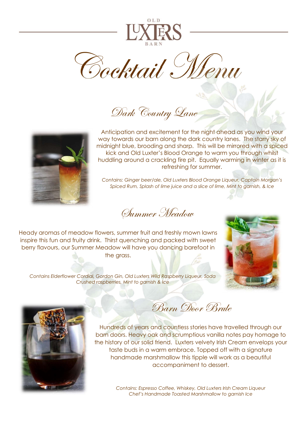

Cocktail Menu

Dark Country Lane



Anticipation and excitement for the night ahead as you wind your way towards our barn along the dark country lanes. The starry sky of midnight blue, brooding and sharp. This will be mirrored with a spiced kick and Old Luxter's Blood Orange to warm you through whilst huddling around a crackling fire pit. Equally warming in winter as it is refreshing for summer.

Contains: Ginger beer/ale, Old Luxters Blood Orange Liqueur, Captain Morgan's Spiced Rum, Splash of lime juice and a slice of lime, Mint to garnish, & Ice

Summer Meadow

Heady aromas of meadow flowers, summer fruit and freshly mown lawns inspire this fun and fruity drink. Thirst quenching and packed with sweet berry flavours, our Summer Meadow will have you dancing barefoot in the grass.



Contains Elderflower Cordial, Gordon Gin, Old Luxters Wild Raspberry Liqueur, Soda Crushed raspberries, Mint to garnish & Ice



Barn Door Brute

Hundreds of years and countless stories have travelled through our barn doors. Heavy oak and scrumptious vanilla notes pay homage to the history of our solid friend. Luxters velvety Irish Cream envelops your taste buds in a warm embrace. Topped off with a signature handmade marshmallow this tipple will work as a beautiful accompaniment to dessert.

> Contains: Espresso Coffee, Whiskey, Old Luxters Irish Cream Liqueur Chef's Handmade Toasted Marshmallow to garnish Ice